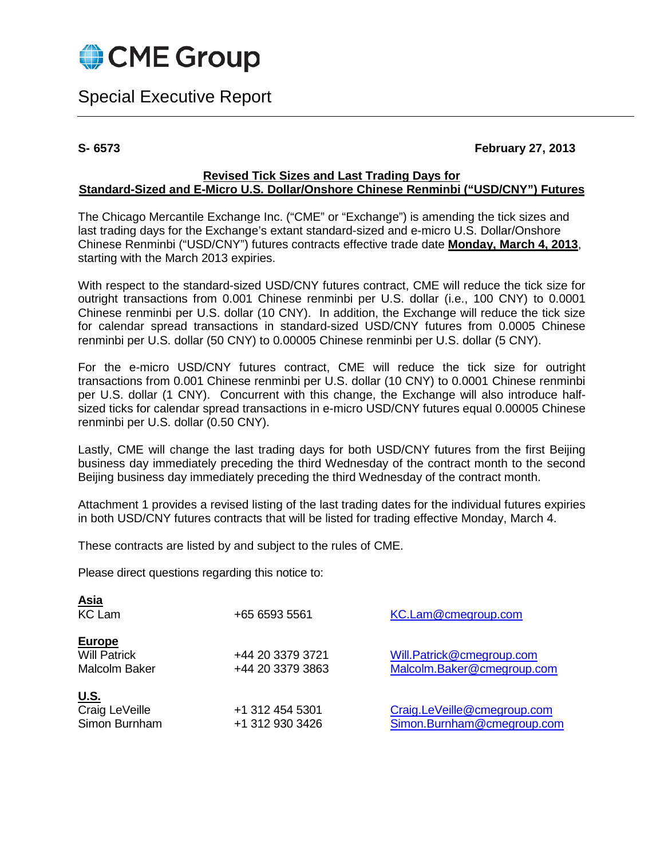

# Special Executive Report

## **S- 6573 February 27, 2013**

#### **Revised Tick Sizes and Last Trading Days for Standard-Sized and E-Micro U.S. Dollar/Onshore Chinese Renminbi ("USD/CNY") Futures**

The Chicago Mercantile Exchange Inc. ("CME" or "Exchange") is amending the tick sizes and last trading days for the Exchange's extant standard-sized and e-micro U.S. Dollar/Onshore Chinese Renminbi ("USD/CNY") futures contracts effective trade date **Monday, March 4, 2013**, starting with the March 2013 expiries.

With respect to the standard-sized USD/CNY futures contract, CME will reduce the tick size for outright transactions from 0.001 Chinese renminbi per U.S. dollar (i.e., 100 CNY) to 0.0001 Chinese renminbi per U.S. dollar (10 CNY). In addition, the Exchange will reduce the tick size for calendar spread transactions in standard-sized USD/CNY futures from 0.0005 Chinese renminbi per U.S. dollar (50 CNY) to 0.00005 Chinese renminbi per U.S. dollar (5 CNY).

For the e-micro USD/CNY futures contract, CME will reduce the tick size for outright transactions from 0.001 Chinese renminbi per U.S. dollar (10 CNY) to 0.0001 Chinese renminbi per U.S. dollar (1 CNY). Concurrent with this change, the Exchange will also introduce halfsized ticks for calendar spread transactions in e-micro USD/CNY futures equal 0.00005 Chinese renminbi per U.S. dollar (0.50 CNY).

Lastly, CME will change the last trading days for both USD/CNY futures from the first Beijing business day immediately preceding the third Wednesday of the contract month to the second Beijing business day immediately preceding the third Wednesday of the contract month.

Attachment 1 provides a revised listing of the last trading dates for the individual futures expiries in both USD/CNY futures contracts that will be listed for trading effective Monday, March 4.

These contracts are listed by and subject to the rules of CME.

Please direct questions regarding this notice to:

<span id="page-0-0"></span>

| <u>Asia</u><br><b>KC Lam</b>                          | +65 6593 5561                        | KC.Lam@cmegroup.com                                       |
|-------------------------------------------------------|--------------------------------------|-----------------------------------------------------------|
| <b>Europe</b><br><b>Will Patrick</b><br>Malcolm Baker | +44 20 3379 3721<br>+44 20 3379 3863 | Will.Patrick@cmegroup.com<br>Malcolm.Baker@cmegroup.com   |
| <u>U.S.</u><br>Craig LeVeille<br>Simon Burnham        | +1 312 454 5301<br>+1 312 930 3426   | Craig.LeVeille@cmegroup.com<br>Simon.Burnham@cmegroup.com |